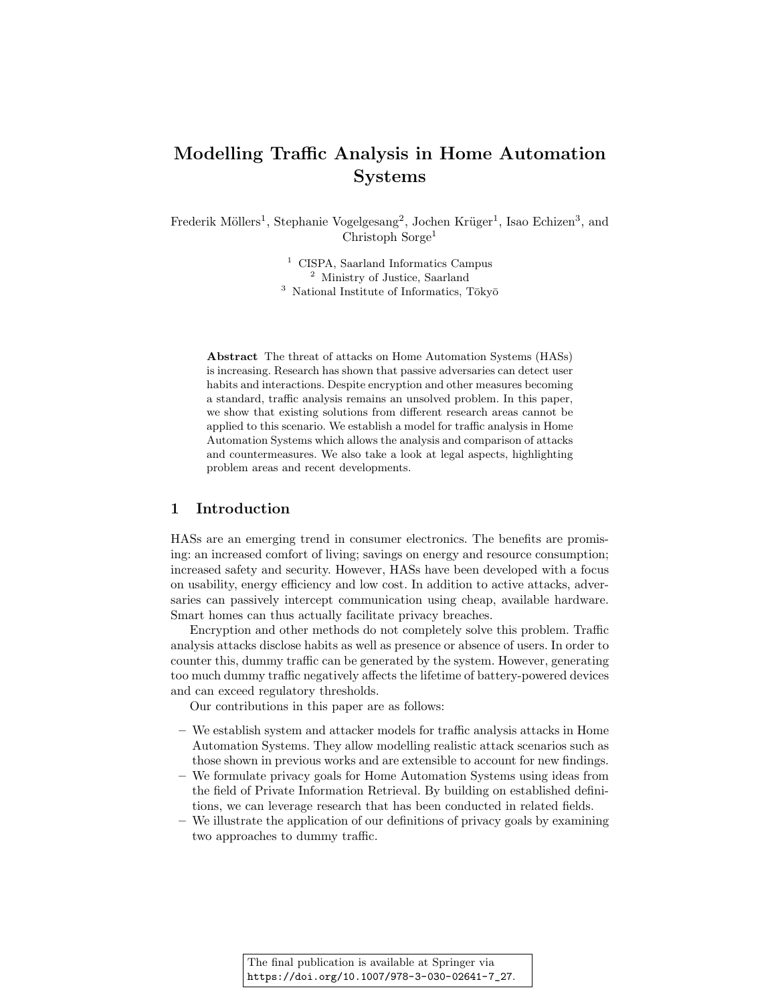# Modelling Traffic Analysis in Home Automation Systems

Frederik Möllers<sup>1</sup>, Stephanie Vogelgesang<sup>2</sup>, Jochen Krüger<sup>1</sup>, Isao Echizen<sup>3</sup>, and Christoph Sorge<sup>1</sup>

> <sup>1</sup> CISPA, Saarland Informatics Campus <sup>2</sup> Ministry of Justice, Saarland  $3$  National Institute of Informatics, Tōkyō

Abstract The threat of attacks on Home Automation Systems (HASs) is increasing. Research has shown that passive adversaries can detect user habits and interactions. Despite encryption and other measures becoming a standard, traffic analysis remains an unsolved problem. In this paper, we show that existing solutions from different research areas cannot be applied to this scenario. We establish a model for traffic analysis in Home Automation Systems which allows the analysis and comparison of attacks and countermeasures. We also take a look at legal aspects, highlighting problem areas and recent developments.

## 1 Introduction

HASs are an emerging trend in consumer electronics. The benefits are promising: an increased comfort of living; savings on energy and resource consumption; increased safety and security. However, HASs have been developed with a focus on usability, energy efficiency and low cost. In addition to active attacks, adversaries can passively intercept communication using cheap, available hardware. Smart homes can thus actually facilitate privacy breaches.

Encryption and other methods do not completely solve this problem. Traffic analysis attacks disclose habits as well as presence or absence of users. In order to counter this, dummy traffic can be generated by the system. However, generating too much dummy traffic negatively affects the lifetime of battery-powered devices and can exceed regulatory thresholds.

Our contributions in this paper are as follows:

- We establish system and attacker models for traffic analysis attacks in Home Automation Systems. They allow modelling realistic attack scenarios such as those shown in previous works and are extensible to account for new findings.
- We formulate privacy goals for Home Automation Systems using ideas from the field of Private Information Retrieval. By building on established definitions, we can leverage research that has been conducted in related fields.
- We illustrate the application of our definitions of privacy goals by examining two approaches to dummy traffic.

The final publication is available at Springer via [https://doi.org/10.1007/978-3-030-02641-7\\_27](https://doi.org/10.1007/978-3-030-02641-7_27).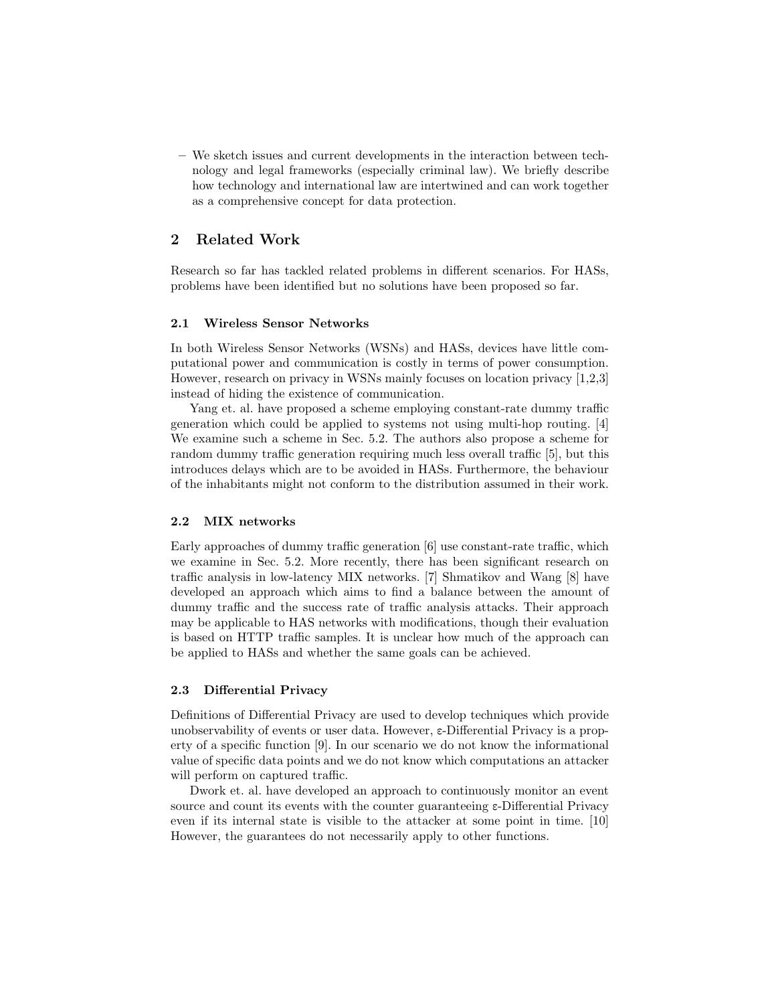– We sketch issues and current developments in the interaction between technology and legal frameworks (especially criminal law). We briefly describe how technology and international law are intertwined and can work together as a comprehensive concept for data protection.

# 2 Related Work

Research so far has tackled related problems in different scenarios. For HASs, problems have been identified but no solutions have been proposed so far.

## 2.1 Wireless Sensor Networks

In both Wireless Sensor Networks (WSNs) and HASs, devices have little computational power and communication is costly in terms of power consumption. However, research on privacy in WSNs mainly focuses on location privacy [\[1,](#page-9-0)[2,](#page-9-1)[3\]](#page-9-2) instead of hiding the existence of communication.

Yang et. al. have proposed a scheme employing constant-rate dummy traffic generation which could be applied to systems not using multi-hop routing. [\[4\]](#page-9-3) We examine such a scheme in Sec. [5.2.](#page-6-0) The authors also propose a scheme for random dummy traffic generation requiring much less overall traffic [\[5\]](#page-9-4), but this introduces delays which are to be avoided in HASs. Furthermore, the behaviour of the inhabitants might not conform to the distribution assumed in their work.

## 2.2 MIX networks

Early approaches of dummy traffic generation [\[6\]](#page-9-5) use constant-rate traffic, which we examine in Sec. [5.2.](#page-6-0) More recently, there has been significant research on traffic analysis in low-latency MIX networks. [\[7\]](#page-9-6) Shmatikov and Wang [\[8\]](#page-9-7) have developed an approach which aims to find a balance between the amount of dummy traffic and the success rate of traffic analysis attacks. Their approach may be applicable to HAS networks with modifications, though their evaluation is based on HTTP traffic samples. It is unclear how much of the approach can be applied to HASs and whether the same goals can be achieved.

## 2.3 Differential Privacy

Definitions of Differential Privacy are used to develop techniques which provide unobservability of events or user data. However, ε-Differential Privacy is a property of a specific function [\[9\]](#page-9-8). In our scenario we do not know the informational value of specific data points and we do not know which computations an attacker will perform on captured traffic.

Dwork et. al. have developed an approach to continuously monitor an event source and count its events with the counter guaranteeing ε-Differential Privacy even if its internal state is visible to the attacker at some point in time. [\[10\]](#page-9-9) However, the guarantees do not necessarily apply to other functions.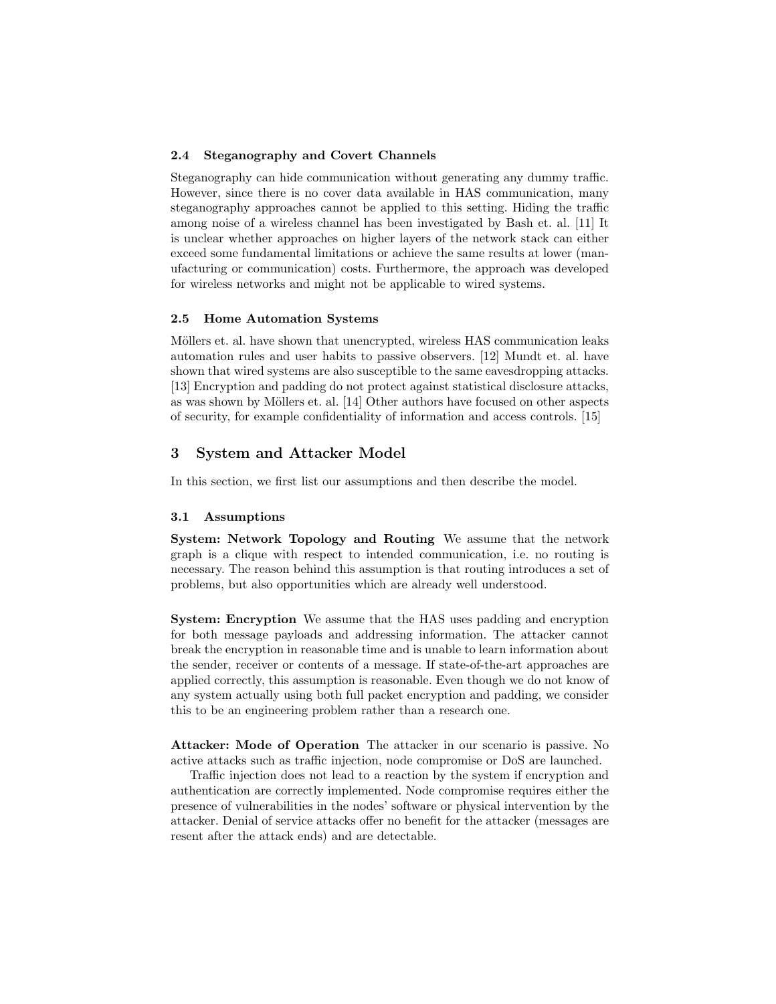## 2.4 Steganography and Covert Channels

Steganography can hide communication without generating any dummy traffic. However, since there is no cover data available in HAS communication, many steganography approaches cannot be applied to this setting. Hiding the traffic among noise of a wireless channel has been investigated by Bash et. al. [\[11\]](#page-9-10) It is unclear whether approaches on higher layers of the network stack can either exceed some fundamental limitations or achieve the same results at lower (manufacturing or communication) costs. Furthermore, the approach was developed for wireless networks and might not be applicable to wired systems.

## 2.5 Home Automation Systems

Möllers et. al. have shown that unencrypted, wireless HAS communication leaks automation rules and user habits to passive observers. [\[12\]](#page-9-11) Mundt et. al. have shown that wired systems are also susceptible to the same eavesdropping attacks. [\[13\]](#page-9-12) Encryption and padding do not protect against statistical disclosure attacks, as was shown by Möllers et. al. [\[14\]](#page-9-13) Other authors have focused on other aspects of security, for example confidentiality of information and access controls. [\[15\]](#page-9-14)

## 3 System and Attacker Model

In this section, we first list our assumptions and then describe the model.

## 3.1 Assumptions

System: Network Topology and Routing We assume that the network graph is a clique with respect to intended communication, i.e. no routing is necessary. The reason behind this assumption is that routing introduces a set of problems, but also opportunities which are already well understood.

System: Encryption We assume that the HAS uses padding and encryption for both message payloads and addressing information. The attacker cannot break the encryption in reasonable time and is unable to learn information about the sender, receiver or contents of a message. If state-of-the-art approaches are applied correctly, this assumption is reasonable. Even though we do not know of any system actually using both full packet encryption and padding, we consider this to be an engineering problem rather than a research one.

Attacker: Mode of Operation The attacker in our scenario is passive. No active attacks such as traffic injection, node compromise or DoS are launched.

Traffic injection does not lead to a reaction by the system if encryption and authentication are correctly implemented. Node compromise requires either the presence of vulnerabilities in the nodes' software or physical intervention by the attacker. Denial of service attacks offer no benefit for the attacker (messages are resent after the attack ends) and are detectable.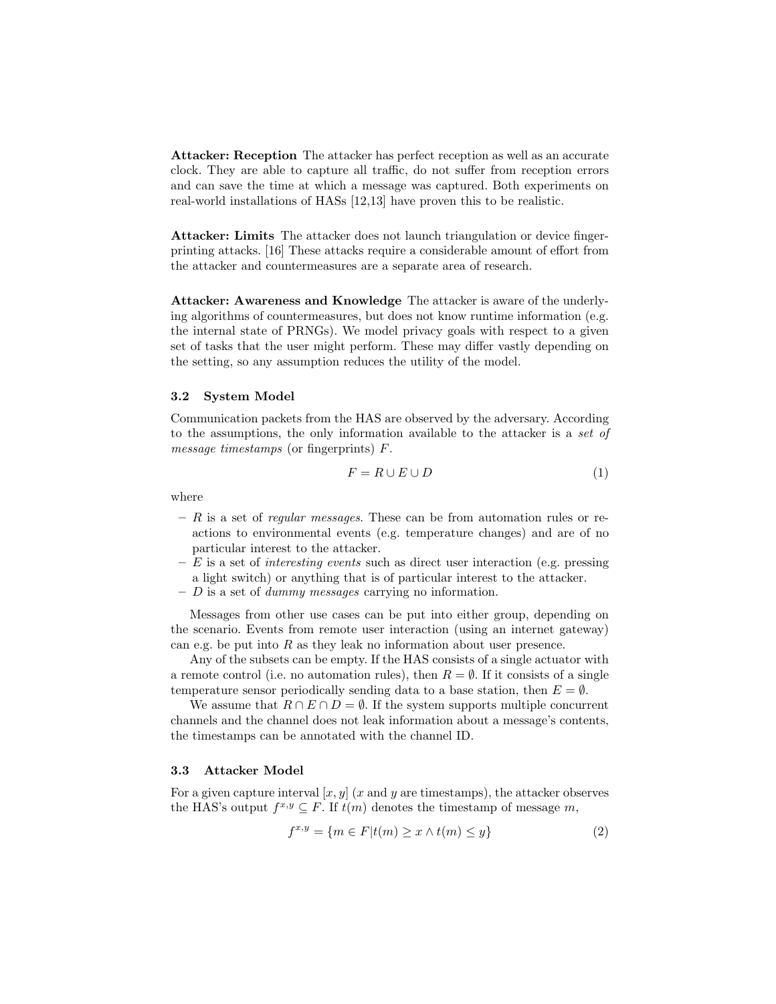Attacker: Reception The attacker has perfect reception as well as an accurate clock. They are able to capture all traffic, do not suffer from reception errors and can save the time at which a message was captured. Both experiments on real-world installations of HASs [\[12](#page-9-11)[,13\]](#page-9-12) have proven this to be realistic.

Attacker: Limits The attacker does not launch triangulation or device fingerprinting attacks. [\[16\]](#page-9-15) These attacks require a considerable amount of effort from the attacker and countermeasures are a separate area of research.

Attacker: Awareness and Knowledge The attacker is aware of the underlying algorithms of countermeasures, but does not know runtime information (e.g. the internal state of PRNGs). We model privacy goals with respect to a given set of tasks that the user might perform. These may differ vastly depending on the setting, so any assumption reduces the utility of the model.

## 3.2 System Model

Communication packets from the HAS are observed by the adversary. According to the assumptions, the only information available to the attacker is a set of message timestamps (or fingerprints) F.

$$
F = R \cup E \cup D \tag{1}
$$

where

- $R$  is a set of *regular messages*. These can be from automation rules or reactions to environmental events (e.g. temperature changes) and are of no particular interest to the attacker.
- $E$  is a set of *interesting events* such as direct user interaction (e.g. pressing a light switch) or anything that is of particular interest to the attacker.
- $-$  D is a set of *dummy messages* carrying no information.

Messages from other use cases can be put into either group, depending on the scenario. Events from remote user interaction (using an internet gateway) can e.g. be put into  $R$  as they leak no information about user presence.

Any of the subsets can be empty. If the HAS consists of a single actuator with a remote control (i.e. no automation rules), then  $R = \emptyset$ . If it consists of a single temperature sensor periodically sending data to a base station, then  $E = \emptyset$ .

We assume that  $R \cap E \cap D = \emptyset$ . If the system supports multiple concurrent channels and the channel does not leak information about a message's contents, the timestamps can be annotated with the channel ID.

## 3.3 Attacker Model

For a given capture interval  $[x, y]$  (x and y are timestamps), the attacker observes the HAS's output  $f^{x,y} \subseteq F$ . If  $t(m)$  denotes the timestamp of message m,

$$
f^{x,y} = \{ m \in F | t(m) \ge x \land t(m) \le y \}
$$
\n<sup>(2)</sup>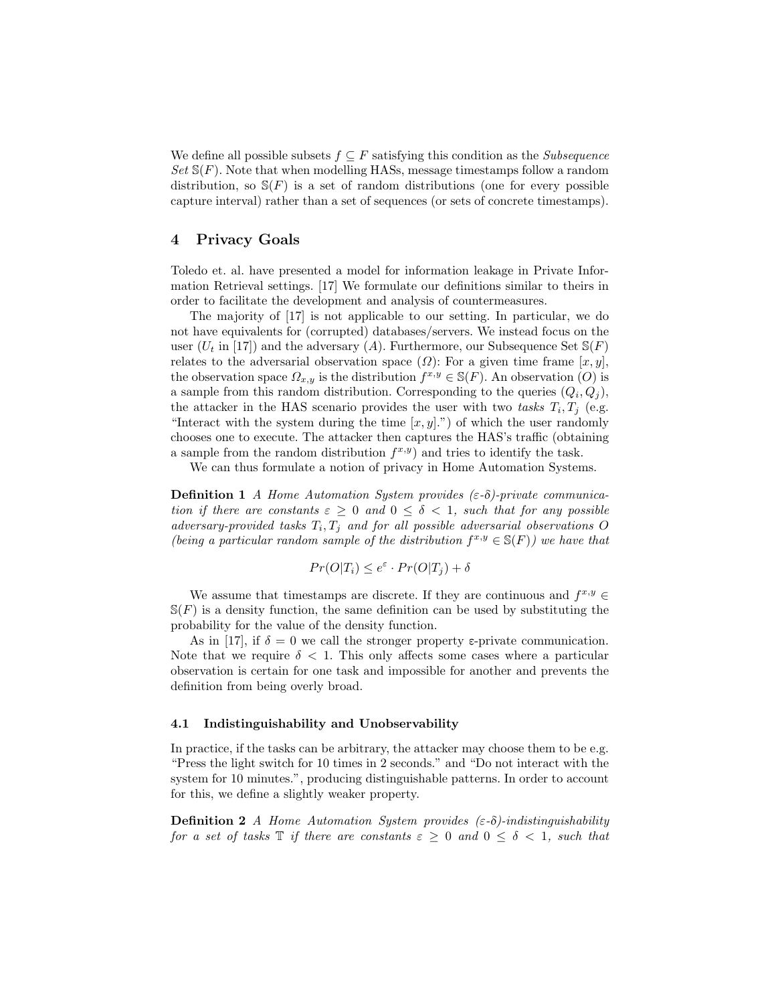We define all possible subsets  $f \subseteq F$  satisfying this condition as the *Subsequence* Set  $S(F)$ . Note that when modelling HASs, message timestamps follow a random distribution, so  $\mathcal{S}(F)$  is a set of random distributions (one for every possible capture interval) rather than a set of sequences (or sets of concrete timestamps).

## 4 Privacy Goals

Toledo et. al. have presented a model for information leakage in Private Information Retrieval settings. [\[17\]](#page-9-16) We formulate our definitions similar to theirs in order to facilitate the development and analysis of countermeasures.

The majority of [\[17\]](#page-9-16) is not applicable to our setting. In particular, we do not have equivalents for (corrupted) databases/servers. We instead focus on the user  $(U_t$  in [\[17\]](#page-9-16)) and the adversary  $(A)$ . Furthermore, our Subsequence Set  $\mathcal{S}(F)$ relates to the adversarial observation space  $(\Omega)$ : For a given time frame [x, y], the observation space  $\Omega_{x,y}$  is the distribution  $f^{x,y} \in \mathbb{S}(F)$ . An observation  $(O)$  is a sample from this random distribution. Corresponding to the queries  $(Q_i, Q_j)$ , the attacker in the HAS scenario provides the user with two tasks  $T_i, T_j$  (e.g. "Interact with the system during the time  $[x, y]$ .") of which the user randomly chooses one to execute. The attacker then captures the HAS's traffic (obtaining a sample from the random distribution  $f^{x,y}$  and tries to identify the task.

We can thus formulate a notion of privacy in Home Automation Systems.

**Definition 1** A Home Automation System provides  $(\varepsilon - \delta)$ -private communication if there are constants  $\varepsilon \geq 0$  and  $0 \leq \delta < 1$ , such that for any possible adversary-provided tasks  $T_i, T_j$  and for all possible adversarial observations O (being a particular random sample of the distribution  $f^{x,y} \in \mathbb{S}(F)$ ) we have that

$$
Pr(O|T_i) \le e^{\varepsilon} \cdot Pr(O|T_j) + \delta
$$

We assume that timestamps are discrete. If they are continuous and  $f^{x,y} \in$  $\mathbb{S}(F)$  is a density function, the same definition can be used by substituting the probability for the value of the density function.

As in [\[17\]](#page-9-16), if  $\delta = 0$  we call the stronger property *ε*-private communication. Note that we require  $\delta$  < 1. This only affects some cases where a particular observation is certain for one task and impossible for another and prevents the definition from being overly broad.

#### 4.1 Indistinguishability and Unobservability

In practice, if the tasks can be arbitrary, the attacker may choose them to be e.g. "Press the light switch for 10 times in 2 seconds." and "Do not interact with the system for 10 minutes.", producing distinguishable patterns. In order to account for this, we define a slightly weaker property.

**Definition 2** A Home Automation System provides  $(\varepsilon - \delta)$ -indistinguishability for a set of tasks  $\mathbb T$  if there are constants  $\varepsilon \geq 0$  and  $0 \leq \delta < 1$ , such that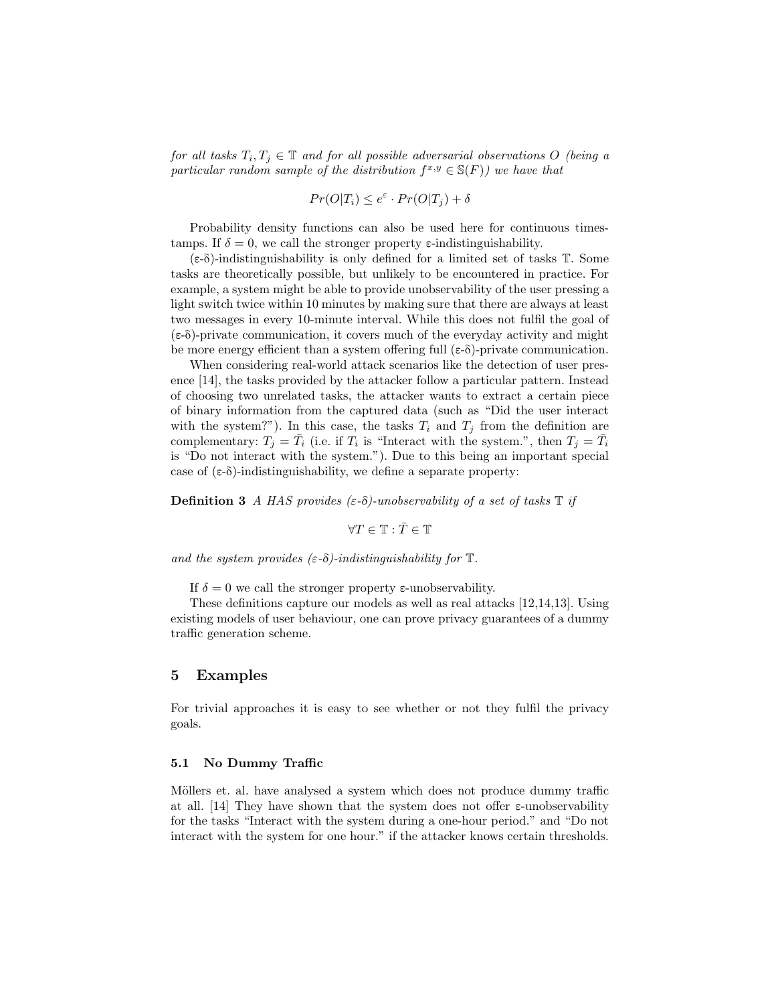for all tasks  $T_i, T_j \in \mathbb{T}$  and for all possible adversarial observations O (being a particular random sample of the distribution  $f^{x,y} \in \mathbb{S}(F)$ ) we have that

$$
Pr(O|T_i) \le e^{\varepsilon} \cdot Pr(O|T_j) + \delta
$$

Probability density functions can also be used here for continuous timestamps. If  $\delta = 0$ , we call the stronger property  $\varepsilon$ -indistinguishability.

 $(\epsilon-\delta)$ -indistinguishability is only defined for a limited set of tasks  $\mathbb{T}$ . Some tasks are theoretically possible, but unlikely to be encountered in practice. For example, a system might be able to provide unobservability of the user pressing a light switch twice within 10 minutes by making sure that there are always at least two messages in every 10-minute interval. While this does not fulfil the goal of  $(\epsilon - \delta)$ -private communication, it covers much of the everyday activity and might be more energy efficient than a system offering full  $(\epsilon-\delta)$ -private communication.

When considering real-world attack scenarios like the detection of user presence [\[14\]](#page-9-13), the tasks provided by the attacker follow a particular pattern. Instead of choosing two unrelated tasks, the attacker wants to extract a certain piece of binary information from the captured data (such as "Did the user interact with the system?"). In this case, the tasks  $T_i$  and  $T_j$  from the definition are complementary:  $T_j = \overline{T}_i$  (i.e. if  $T_i$  is "Interact with the system.", then  $T_j = \overline{T}_i$ is "Do not interact with the system."). Due to this being an important special case of  $(\epsilon - \delta)$ -indistinguishability, we define a separate property:

**Definition 3** A HAS provides  $(\varepsilon - \delta)$ -unobservability of a set of tasks  $\mathbb T$  if

$$
\forall T\in\mathbb{T}:\bar{T}\in\mathbb{T}
$$

and the system provides  $(\varepsilon-\delta)$ -indistinguishability for  $\mathbb T$ .

If  $\delta = 0$  we call the stronger property  $\varepsilon$ -unobservability.

These definitions capture our models as well as real attacks [\[12,](#page-9-11)[14,](#page-9-13)[13\]](#page-9-12). Using existing models of user behaviour, one can prove privacy guarantees of a dummy traffic generation scheme.

## 5 Examples

For trivial approaches it is easy to see whether or not they fulfil the privacy goals.

#### 5.1 No Dummy Traffic

Möllers et. al. have analysed a system which does not produce dummy traffic at all. [\[14\]](#page-9-13) They have shown that the system does not offer  $\varepsilon$ -unobservability for the tasks "Interact with the system during a one-hour period." and "Do not interact with the system for one hour." if the attacker knows certain thresholds.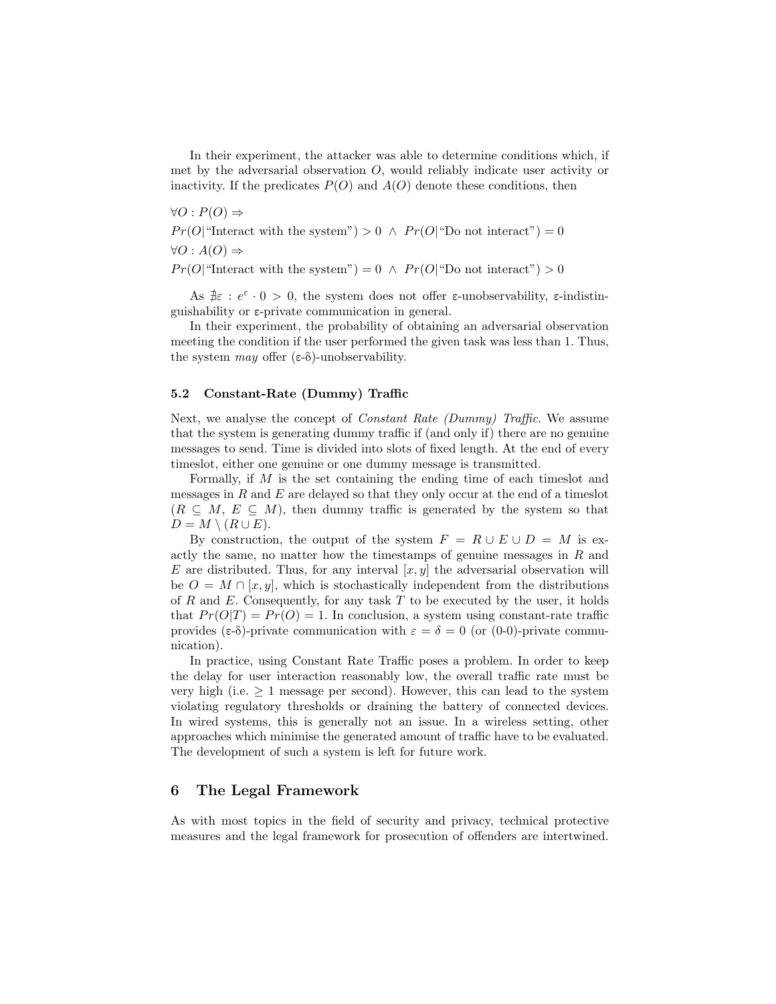In their experiment, the attacker was able to determine conditions which, if met by the adversarial observation  $O$ , would reliably indicate user activity or inactivity. If the predicates  $P(O)$  and  $A(O)$  denote these conditions, then

$$
\forall O: P(O) \Rightarrow
$$

 $Pr(O|$ "Interact with the system") > 0  $\land$   $Pr(O|$ "Do not interact") = 0

 $\forall O : A(O) \Rightarrow$ 

 $Pr(O|$ "Interact with the system") = 0  $\land Pr(O|$ "Do not interact") > 0

As  $\sharp \varepsilon : e^{\varepsilon} \cdot 0 > 0$ , the system does not offer  $\varepsilon$ -unobservability,  $\varepsilon$ -indistinguishability or ε- private communication in general.

In their experiment, the probability of obtaining an adversarial observation meeting the condition if the user performed the given task was less than 1. Thus, the system may offer  $(\epsilon-\delta)$ -unobservability.

#### <span id="page-6-0"></span>5.2 Constant-Rate (Dummy) Traffic

Next, we analyse the concept of *Constant Rate (Dummy)* Traffic. We assume that the system is generating dummy traffic if (and only if) there are no genuine messages to send. Time is divided into slots of fixed length. At the end of every timeslot, either one genuine or one dummy message is transmitted.

Formally, if M is the set containing the ending time of each timeslot and messages in  $R$  and  $E$  are delayed so that they only occur at the end of a timeslot  $(R \subseteq M, E \subseteq M)$ , then dummy traffic is generated by the system so that  $D = M \setminus (R \cup E).$ 

By construction, the output of the system  $F = R \cup E \cup D = M$  is exactly the same, no matter how the timestamps of genuine messages in R and E are distributed. Thus, for any interval  $[x, y]$  the adversarial observation will be  $O = M \cap [x, y]$ , which is stochastically independent from the distributions of  $R$  and  $E$ . Consequently, for any task  $T$  to be executed by the user, it holds that  $Pr(O|T) = Pr(O) = 1$ . In conclusion, a system using constant-rate traffic provides (ε-δ)-private communication with  $\varepsilon = \delta = 0$  (or (0-0)-private communication).

In practice, using Constant Rate Traffic poses a problem. In order to keep the delay for user interaction reasonably low, the overall traffic rate must be very high (i.e.  $\geq 1$  message per second). However, this can lead to the system violating regulatory thresholds or draining the battery of connected devices. In wired systems, this is generally not an issue. In a wireless setting, other approaches which minimise the generated amount of traffic have to be evaluated. The development of such a system is left for future work.

## 6 The Legal Framework

As with most topics in the field of security and privacy, technical protective measures and the legal framework for prosecution of offenders are intertwined.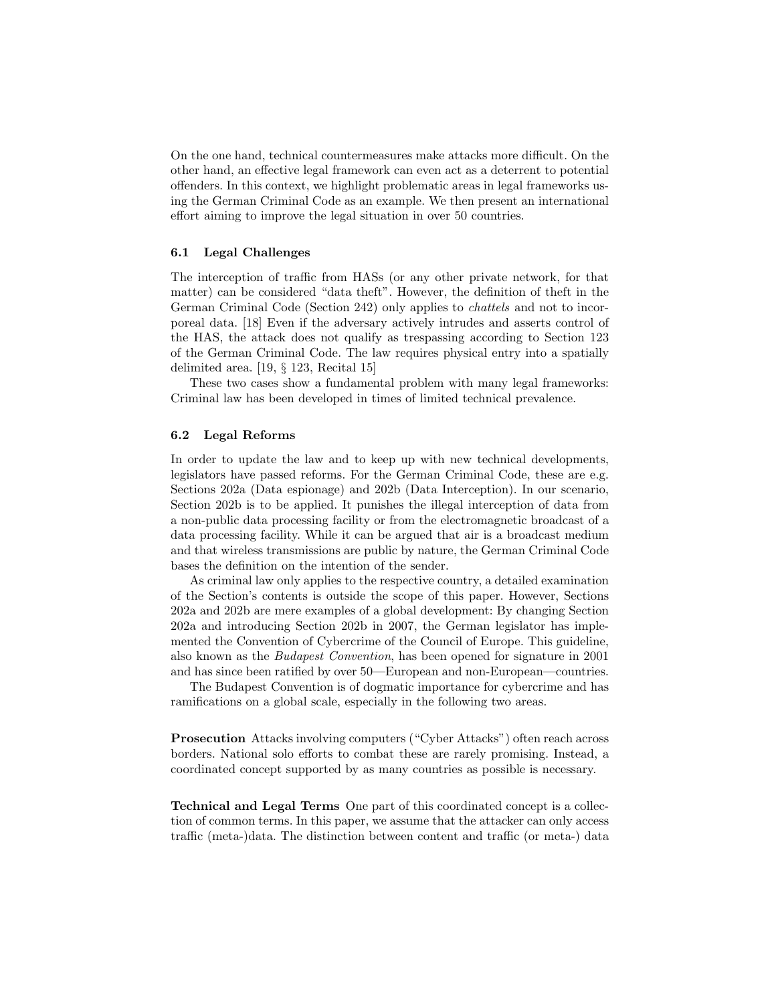On the one hand, technical countermeasures make attacks more difficult. On the other hand, an effective legal framework can even act as a deterrent to potential offenders. In this context, we highlight problematic areas in legal frameworks using the German Criminal Code as an example. We then present an international effort aiming to improve the legal situation in over 50 countries.

## 6.1 Legal Challenges

The interception of traffic from HASs (or any other private network, for that matter) can be considered "data theft". However, the definition of theft in the German Criminal Code (Section 242) only applies to chattels and not to incorporeal data. [\[18\]](#page-9-17) Even if the adversary actively intrudes and asserts control of the HAS, the attack does not qualify as trespassing according to Section 123 of the German Criminal Code. The law requires physical entry into a spatially delimited area. [\[19,](#page-9-18) § 123, Recital 15]

These two cases show a fundamental problem with many legal frameworks: Criminal law has been developed in times of limited technical prevalence.

## 6.2 Legal Reforms

In order to update the law and to keep up with new technical developments, legislators have passed reforms. For the German Criminal Code, these are e.g. Sections 202a (Data espionage) and 202b (Data Interception). In our scenario, Section 202b is to be applied. It punishes the illegal interception of data from a non-public data processing facility or from the electromagnetic broadcast of a data processing facility. While it can be argued that air is a broadcast medium and that wireless transmissions are public by nature, the German Criminal Code bases the definition on the intention of the sender.

As criminal law only applies to the respective country, a detailed examination of the Section's contents is outside the scope of this paper. However, Sections 202a and 202b are mere examples of a global development: By changing Section 202a and introducing Section 202b in 2007, the German legislator has implemented the Convention of Cybercrime of the Council of Europe. This guideline, also known as the Budapest Convention, has been opened for signature in 2001 and has since been ratified by over 50—European and non-European—countries.

The Budapest Convention is of dogmatic importance for cybercrime and has ramifications on a global scale, especially in the following two areas.

Prosecution Attacks involving computers ("Cyber Attacks") often reach across borders. National solo efforts to combat these are rarely promising. Instead, a coordinated concept supported by as many countries as possible is necessary.

Technical and Legal Terms One part of this coordinated concept is a collection of common terms. In this paper, we assume that the attacker can only access traffic (meta-)data. The distinction between content and traffic (or meta-) data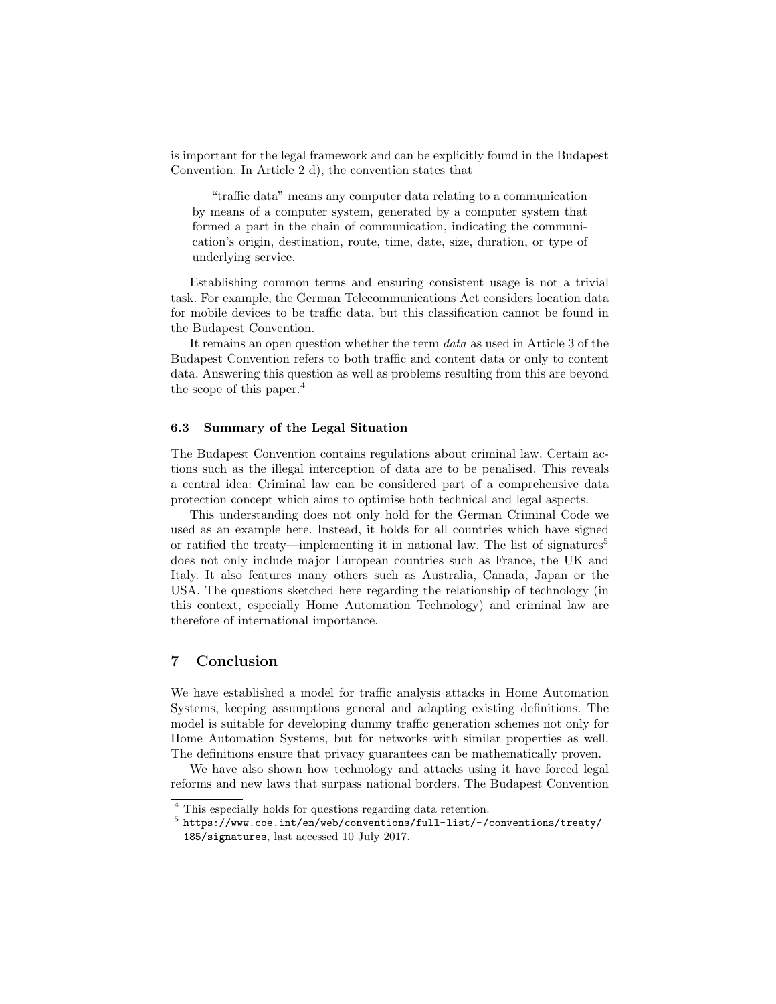is important for the legal framework and can be explicitly found in the Budapest Convention. In Article 2 d), the convention states that

"traffic data" means any computer data relating to a communication by means of a computer system, generated by a computer system that formed a part in the chain of communication, indicating the communication's origin, destination, route, time, date, size, duration, or type of underlying service.

Establishing common terms and ensuring consistent usage is not a trivial task. For example, the German Telecommunications Act considers location data for mobile devices to be traffic data, but this classification cannot be found in the Budapest Convention.

It remains an open question whether the term data as used in Article 3 of the Budapest Convention refers to both traffic and content data or only to content data. Answering this question as well as problems resulting from this are beyond the scope of this paper.<sup>[4](#page-8-0)</sup>

#### 6.3 Summary of the Legal Situation

The Budapest Convention contains regulations about criminal law. Certain actions such as the illegal interception of data are to be penalised. This reveals a central idea: Criminal law can be considered part of a comprehensive data protection concept which aims to optimise both technical and legal aspects.

This understanding does not only hold for the German Criminal Code we used as an example here. Instead, it holds for all countries which have signed or ratified the treaty—implementing it in national law. The list of signatures<sup>[5](#page-8-1)</sup> does not only include major European countries such as France, the UK and Italy. It also features many others such as Australia, Canada, Japan or the USA. The questions sketched here regarding the relationship of technology (in this context, especially Home Automation Technology) and criminal law are therefore of international importance.

# 7 Conclusion

We have established a model for traffic analysis attacks in Home Automation Systems, keeping assumptions general and adapting existing definitions. The model is suitable for developing dummy traffic generation schemes not only for Home Automation Systems, but for networks with similar properties as well. The definitions ensure that privacy guarantees can be mathematically proven.

We have also shown how technology and attacks using it have forced legal reforms and new laws that surpass national borders. The Budapest Convention

<span id="page-8-0"></span><sup>4</sup> This especially holds for questions regarding data retention.

<span id="page-8-1"></span> $^5$ [https://www.coe.int/en/web/conventions/full-list/-/conventions/treaty/](https://www.coe.int/en/web/conventions/full-list/-/conventions/treaty/185/signatures) [185/signatures](https://www.coe.int/en/web/conventions/full-list/-/conventions/treaty/185/signatures), last accessed 10 July 2017.